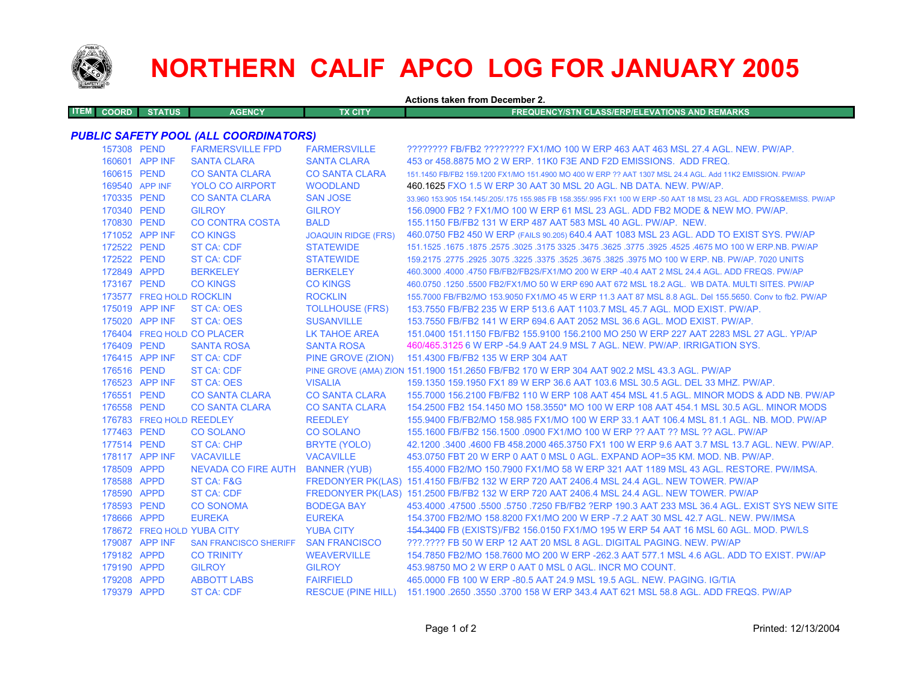

## **NORTHERN CALIF APCO LOG FOR JANUARY 2005**

**Actions taken from December 2.ITEM COORD STATUS AGENCY TX CITY FREQUENCY/STN CLASS/ERP/ELEVATIONS AND REMARKS***PUBLIC SAFETY POOL (ALL COORDINATORS)* 157308 PEND FARMERSVILLE FPD FARMERSVILLE ???????? FB/FB2 ???????? FX1/MO 100 W ERP 463 AAT 463 MSL 27.4 AGL. NEW. PW/AP. 160601 APP INF SANTA CLARA SANTA CLARA 453 or 458.8875 MO 2 W ERP. 11K0 F3E AND F2D EMISSIONS. ADD FREQ. 160615 PEND CO SANTA CLARA CO SANTA CLARA 151.1450 FB/FB2 159.1200 FX1/MO 151.4900 MO 400 W ERP ?? AAT 1307 MSL 24.4 AGL. Add 11K2 EMISSION. PW/AP 169540 APP INFYOLO CO AIRPORT WOODLAND 460.1625 FXO 1.5 W ERP 30 AAT 30 MSL 20 AGL. NB DATA. NEW. PW/AP. 170335 PEND CO SANTA CLARA SAN JOSE 33.960 153.905 154.145/.205/.175 155.985 FB 158.355/.995 FX1 100 W ERP -50 AAT 18 MSL 23 AGL. ADD FRQS&EMISS. PW/AP 170340 PEND GILROY GILROY 156.0900 FB2 ? FX1/MO 100 W ERP 61 MSL 23 AGL. ADD FB2 MODE & NEW MO. PW/AP.170830 PEND CO CONTRA COSTA BALD 155.1150 FB/FB2 131 W ERP 487 AAT 583 MSL 40 AGL. PW/AP. NEW.171052 APP INF CO KINGS JOAQUIN RIDGE (FRS) 460.0750 FB2 450 W ERP (FAILS 90.205) 640.4 AAT 1083 MSL 23 AGL. ADD TO EXIST SYS. PW/AP 172522 PEND ST CA: CDF STATEWIDE 151.1525 .1675 .1875 .2575 .3025 .3175 3325 .3475 .3625 .3775 .3925 .4525 .4675 MO 100 W ERP.NB. PW/AP 172522 PEND ST CA: CDF STATEWIDE 159.2175 .2775 .2925 .3075 .3225 .3375 .3525 .3675 .3825 .3975 MO 100 W ERP. NB. PW/AP. 7020 UNITS 172849 APPD BERKELEY BERKELEY 460.3000 .4000 .4750 FB/FB2/FB2S/FX1/MO 200 W ERP -40.4 AAT 2 MSL 24.4 AGL. ADD FREQS. PW/AP173167 PEND CO KINGS CO KINGS 460.0750 .1250 .5500 FB2/FX1/MO 50 W ERP 690 AAT 672 MSL 18.2 AGL. WB DATA. MULTI SITES. PW/AP 173577 FREQ HOLD ROCKLIN ROCKLIN 155.7000 FB/FB2/MO 153.9050 FX1/MO 45 W ERP 11.3 AAT 87 MSL 8.8 AGL. Del 155.5650. Conv to fb2. PW/AP 175019 APP INF ST CA: OES TOLLHOUSE (FRS) 153.7550 FB/FB2 235 W ERP 513.6 AAT 1103.7 MSL 45.7 AGL. MOD EXIST. PW/AP. 175020 APP INF ST CA: OES SUSANVILLE 153.7550 FB/FB2 141 W ERP 694.6 AAT 2052 MSL 36.6 AGL. MOD EXIST. PW/AP. 176404 FREQ HOLDLK TAHOE AREA 151.0400 151.1150 FB/FB2 155.9100 156.2100 MO 250 W ERP 227 AAT 2283 MSL 27 AGL. YP/AP 176409 PEND SANTA ROSA SANTA ROSA 460/465.3125 6 W ERP -54.9 AAT 24.9 MSL 7 AGL. NEW. PW/AP. IRRIGATION SYS. 176415 APP INF ST CA: CDF PINE GROVE (ZION) 151.4300 FB/FB2 135 W ERP 304 AAT 176516 PEND ST CA: CDF PINE GROVE (AMA) ZION 151.1900 151.2650 FB/FB2 170 W ERP 304 AAT 902.2 MSL 43.3 AGL. PW/AP 176523 APP INF ST CA: OES VISALIA 159.1350 159.1950 FX1 89 W ERP 36.6 AAT 103.6 MSL 30.5 AGL. DEL 33 MHZ. PW/AP.176551 PEND CO SANTA CLARA CO SANTA CLARA 155.7000 156.2100 FB/FB2 110 W ERP 108 AAT 454 MSL 41.5 AGL. MINOR MODS & ADD NB. PW/AP 176558 PEND CO SANTA CLARA CO SANTA CLARA 154.2500 FB2 154.1450 MO 158.3550\* MO 100 W ERP 108 AAT 454.1 MSL 30.5 AGL. MINOR MODS176783 FREQ HOLD REEDLEY REEDLEY 155.9400 FB/FB2/MO 158.985 FX1/MO 100 W ERP 33.1 AAT 106.4 MSL 81.1 AGL. NB. MOD. PW/AP 177463 PEND CO SOLANO CO SOLANO 155.1600 FB/FB2 156.1500 .0900 FX1/MO 100 W ERP ?? AAT ?? MSL ?? AGL. PW/AP177514 PEND ST CA: CHP BRYTE (YOLO) 42.1200 .3400 .4600 FB 458.2000 465.3750 FX1 100 W ERP 9.6 AAT 3.7 MSL 13.7 AGL. NEW. PW/AP. 178117 APP INF VACAVILLE VACAVILLE 453.0750 FBT 20 W ERP 0 AAT 0 MSL 0 AGL. EXPAND AOP=35 KM. MOD. NB. PW/AP.178509 APPD NEVADA CO FIRE AUTH BANNER (YUB) 155.4000 FB2/MO 150.7900 FX1/MO 58 W ERP 321 AAT 1189 MSL 43 AGL. RESTORE. PW/IMSA. 178588 APPD ST CA: F&G FREDONYER PK(LAS) 151.4150 FB/FB2 132 W ERP 720 AAT 2406.4 MSL 24.4 AGL. NEW TOWER. PW/AP 178590 APPD ST CA: CDF FREDONYER PK(LAS) 151.2500 FB/FB2 132 W ERP 720 AAT 2406.4 MSL 24.4 AGL. NEW TOWER. PW/AP 178593 PEND CO SONOMA BODEGA BAY 453.4000 .47500 .5500 .5750 .7250 FB/FB2 ?ERP 190.3 AAT 233 MSL 36.4 AGL. EXIST SYS NEW SITE178666 APPD EUREKA EUREKA EUREKA 154.3700 FB2/MO 158.8200 FX1/MO 200 W ERP -7.2 AAT 30 MSL 42.7 AGL. NEW. PW/IMSA 178672 FREQ HOLDYUBA CITY 454.3400 FB (EXISTS)/FB2 156.0150 FX1/MO 195 W ERP 54 AAT 16 MSL 60 AGL. MOD. PW/LS 179087 APP INF SAN FRANCISCO SHERIFF SAN FRANCISCO ???.???? FB 50 W ERP 12 AAT 20 MSL 8 AGL. DIGITAL PAGING. NEW. PW/AP179182 APPD CO TRINITY WEAVERVILLE 154.7850 FB2/MO 158.7600 MO 200 W ERP -262.3 AAT 577.1 MSL 4.6 AGL. ADD TO EXIST. PW/AP179190 APPD GILROY GILROY 453.98750 MO 2 W ERP 0 AAT 0 MSL 0 AGL. INCR MO COUNT.179208 APPD ABBOTT LABS FAIRFIELD 465.0000 FB 100 W ERP -80.5 AAT 24.9 MSL 19.5 AGL. NEW. PAGING. IG/TIA179379 APPD ST CA: CDF RESCUE (PINE HILL) 151.1900 .2650 .3550 .3700 158 W ERP 343.4 AAT 621 MSL 58.8 AGL. ADD FREQS. PW/AP